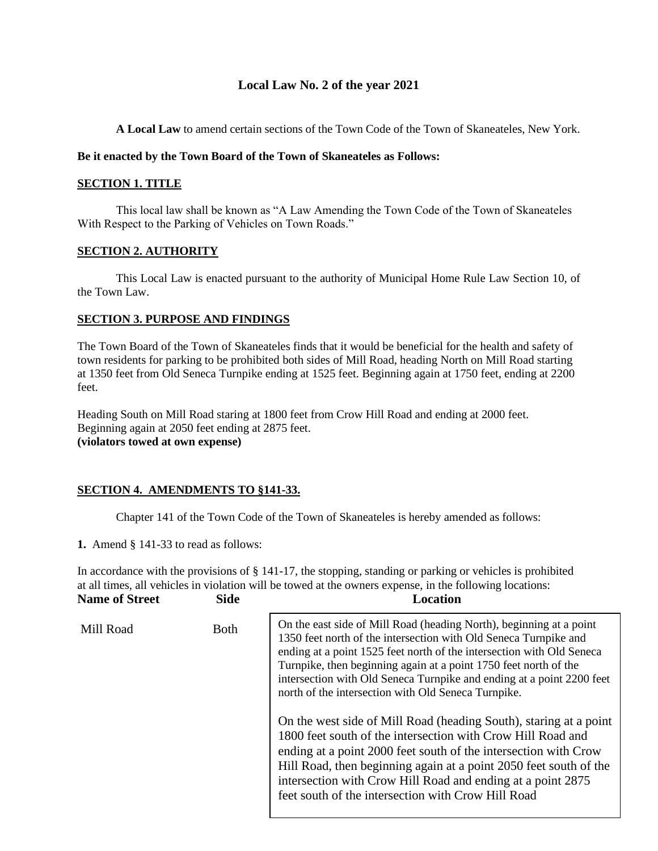# **Local Law No. 2 of the year 2021**

**A Local Law** to amend certain sections of the Town Code of the Town of Skaneateles, New York.

### **Be it enacted by the Town Board of the Town of Skaneateles as Follows:**

### **SECTION 1. TITLE**

This local law shall be known as "A Law Amending the Town Code of the Town of Skaneateles With Respect to the Parking of Vehicles on Town Roads."

## **SECTION 2. AUTHORITY**

This Local Law is enacted pursuant to the authority of Municipal Home Rule Law Section 10, of the Town Law.

### **SECTION 3. PURPOSE AND FINDINGS**

The Town Board of the Town of Skaneateles finds that it would be beneficial for the health and safety of town residents for parking to be prohibited both sides of Mill Road, heading North on Mill Road starting at 1350 feet from Old Seneca Turnpike ending at 1525 feet. Beginning again at 1750 feet, ending at 2200 feet.

Heading South on Mill Road staring at 1800 feet from Crow Hill Road and ending at 2000 feet. Beginning again at 2050 feet ending at 2875 feet. **(violators towed at own expense)**

## **SECTION 4. AMENDMENTS TO §141-33.**

Chapter 141 of the Town Code of the Town of Skaneateles is hereby amended as follows:

**1.** Amend § 141-33 to read as follows:

In accordance with the provisions of § 141-17, the stopping, standing or parking or vehicles is prohibited at all times, all vehicles in violation will be towed at the owners expense, in the following locations: **Name of Street Side Location**

| Mill Road | Both | On the east side of Mill Road (heading North), beginning at a point<br>1350 feet north of the intersection with Old Seneca Turnpike and<br>ending at a point 1525 feet north of the intersection with Old Seneca<br>Turnpike, then beginning again at a point 1750 feet north of the<br>intersection with Old Seneca Turnpike and ending at a point 2200 feet<br>north of the intersection with Old Seneca Turnpike. |
|-----------|------|----------------------------------------------------------------------------------------------------------------------------------------------------------------------------------------------------------------------------------------------------------------------------------------------------------------------------------------------------------------------------------------------------------------------|
|           |      | On the west side of Mill Road (heading South), staring at a point<br>1800 feet south of the intersection with Crow Hill Road and<br>ending at a point 2000 feet south of the intersection with Crow<br>Hill Road, then beginning again at a point 2050 feet south of the<br>intersection with Crow Hill Road and ending at a point 2875<br>feet south of the intersection with Crow Hill Road                        |